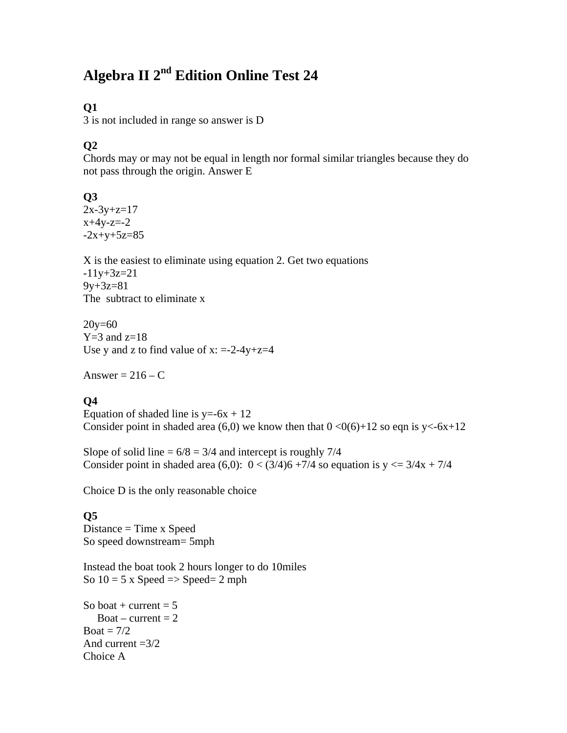# **Algebra II 2nd Edition Online Test 24**

### **Q1**

3 is not included in range so answer is D

### **Q2**

Chords may or may not be equal in length nor formal similar triangles because they do not pass through the origin. Answer E

### **Q3**

 $2x-3y+z=17$  $x+4y-z=2$  $-2x+y+5z=85$ 

X is the easiest to eliminate using equation 2. Get two equations  $-11y+3z=21$  $9y+3z=81$ The subtract to eliminate x

20y=60  $Y=3$  and  $z=18$ Use y and z to find value of  $x: =-2-4y+z=4$ 

Answer =  $216 - C$ 

### **Q4**

Equation of shaded line is  $y=-6x + 12$ Consider point in shaded area (6,0) we know then that  $0 < 0(6)+12$  so eqn is y<-6x+12

Slope of solid line  $= 6/8 = 3/4$  and intercept is roughly 7/4 Consider point in shaded area (6,0):  $0 < (3/4)6 + 7/4$  so equation is  $y \le 3/4x + 7/4$ 

Choice D is the only reasonable choice

#### **Q5**

Distance = Time x Speed So speed downstream= 5mph

Instead the boat took 2 hours longer to do 10miles So  $10 = 5$  x Speed  $\Rightarrow$  Speed  $= 2$  mph

So boat + current  $= 5$  $Boat$  – current = 2 Boat  $= 7/2$ And current  $=3/2$ . Choice A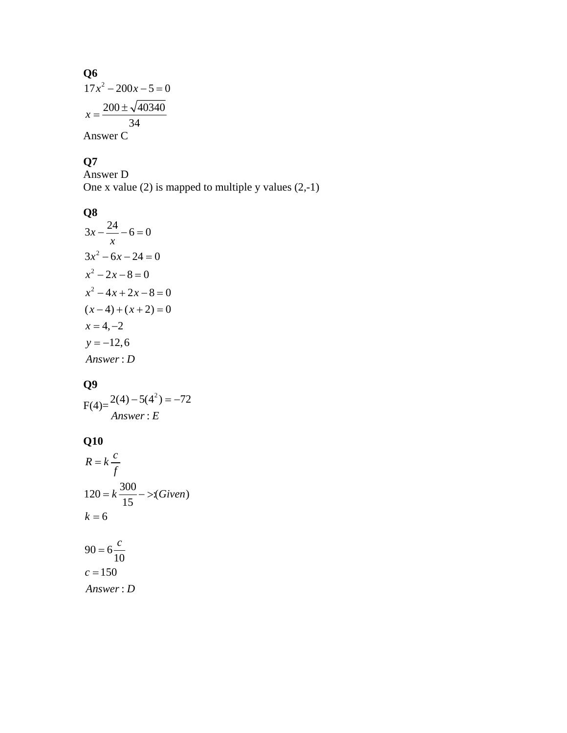**Q6**  
\n
$$
17x^2 - 200x - 5 = 0
$$
\n
$$
x = \frac{200 \pm \sqrt{40340}}{34}
$$
\nAnswer C

#### **Q7**

Answer D One x value (2) is mapped to multiple y values  $(2,-1)$ 

### **Q8**

$$
3x - \frac{24}{x} - 6 = 0
$$
  
\n
$$
3x^2 - 6x - 24 = 0
$$
  
\n
$$
x^2 - 2x - 8 = 0
$$
  
\n
$$
x^2 - 4x + 2x - 8 = 0
$$
  
\n
$$
(x - 4) + (x + 2) = 0
$$
  
\n
$$
x = 4, -2
$$
  
\n
$$
y = -12, 6
$$
  
\nAnswer : D

# **Q9**

$$
F(4) = \frac{2(4) - 5(4^2)}{Answer : E}
$$

# **Q10**

$$
R = k \frac{c}{f}
$$
  
\n
$$
120 = k \frac{300}{15} - \frac{5}{6} \cdot \frac{300}{10}
$$
  
\n
$$
k = 6
$$
  
\n
$$
90 = 6 \frac{c}{10}
$$
  
\n
$$
c = 150
$$

: *Answer D*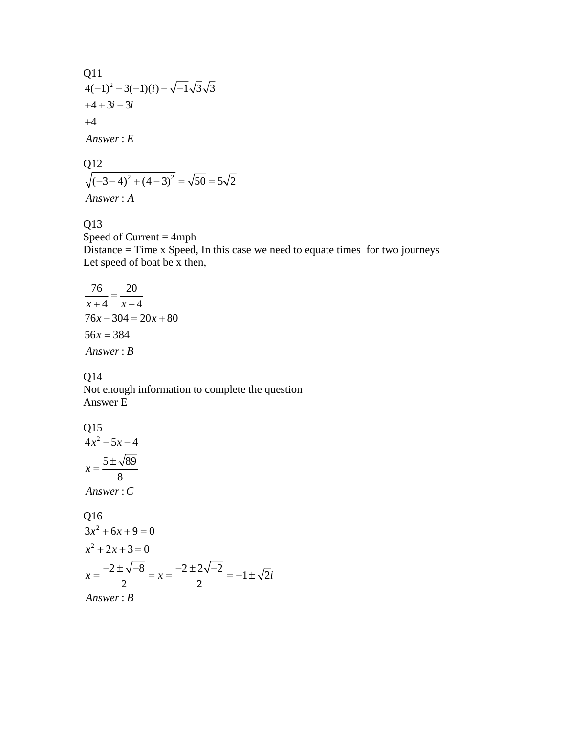Q11  
4(-1)<sup>2</sup>-3(-1)(i) - 
$$
\sqrt{-1}\sqrt{3}\sqrt{3}
$$
  
+4+3i-3i  
+4  
Answer : E

Q12  
\n
$$
\sqrt{(-3-4)^2 + (4-3)^2} = \sqrt{50} = 5\sqrt{2}
$$
\nAnswer: A

#### Q13

Speed of Current  $=$  4mph Distance = Time x Speed, In this case we need to equate times for two journeys Let speed of boat be x then,

$$
\frac{76}{x+4} = \frac{20}{x-4}
$$
  
76x - 304 = 20x + 80  
56x = 384  
Answer: B

#### Q14

Not enough information to complete the question Answer E

#### Q15

 $4x^2 - 5x - 4$  $5 \pm \sqrt{89}$ 8  $x = \frac{5 \pm \sqrt{2}}{2}$ 

: *Answer C*

Q16  
\n
$$
3x^2 + 6x + 9 = 0
$$
  
\n $x^2 + 2x + 3 = 0$   
\n $x = \frac{-2 \pm \sqrt{-8}}{2} = x = \frac{-2 \pm 2\sqrt{-2}}{2} = -1 \pm \sqrt{2}i$   
\nAnswer : B